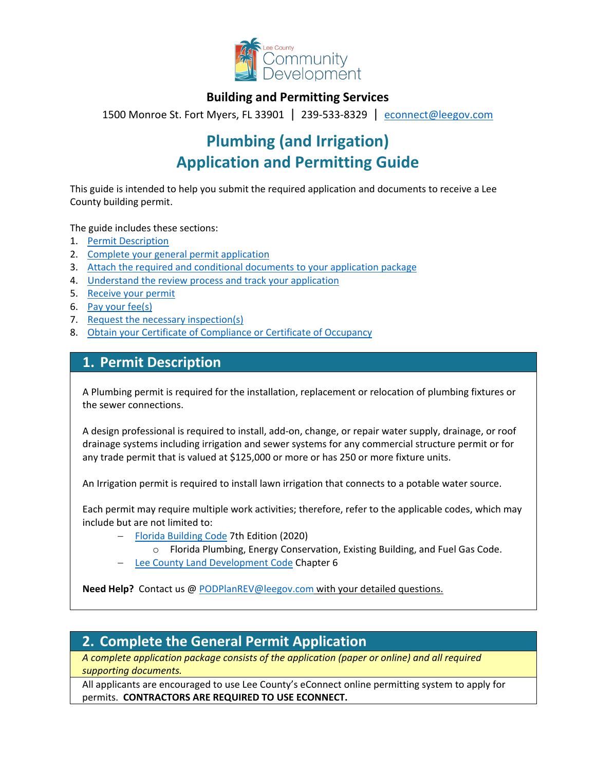

### **Building and Permitting Services**

1500 Monroe St. Fort Myers, FL 33901 | 239-533-8329 |[econnect@leegov.com](mailto:econnect@leegov.com)

# **Plumbing (and Irrigation) Application and Permitting Guide**

This guide is intended to help you submit the required application and documents to receive a Lee County building permit.

The guide includes these sections:

- 1. [Permit Description](#page-0-0)
- 2. [Complete your general permit application](#page-0-1)
- 3. [Attach the required and conditional documents to your application package](#page-2-0)
- 4. [Understand the review process and track your application](#page-4-0)
- 5. [Receive your permit](#page-5-0)
- 6. [Pay your fee\(s\)](#page-5-1)
- 7. [Request the necessary inspection\(s\)](#page-5-2)
- 8. [Obtain your Certificate of Compliance or Certificate of Occupancy](#page-6-0)

### <span id="page-0-0"></span>**1. Permit Description**

A Plumbing permit is required for the installation, replacement or relocation of plumbing fixtures or the sewer connections.

A design professional is required to install, add-on, change, or repair water supply, drainage, or roof drainage systems including irrigation and sewer systems for any commercial structure permit or for any trade permit that is valued at \$125,000 or more or has 250 or more fixture units.

An Irrigation permit is required to install lawn irrigation that connects to a potable water source.

Each permit may require multiple work activities; therefore, refer to the applicable codes, which may include but are not limited to:

- − [Florida Building Code](https://codes.iccsafe.org/codes/florida) 7th Edition (2020)
	- o Florida Plumbing, Energy Conservation, Existing Building, and Fuel Gas Code.
- − [Lee County Land Development Code](https://library.municode.com/fl/lee_county/codes/land_development_code?nodeId=LADECOLECOFL) Chapter 6

**Need Help?** Contact us @ [PODPlanREV@leegov.com](mailto:PODPlanREV@leegov.com) with your detailed questions.

# <span id="page-0-1"></span>**2. Complete the General Permit Application**

*A complete application package consists of the application (paper or online) and all required supporting documents.*

All applicants are encouraged to use Lee County's eConnect online permitting system to apply for permits. **CONTRACTORS ARE REQUIRED TO USE ECONNECT.**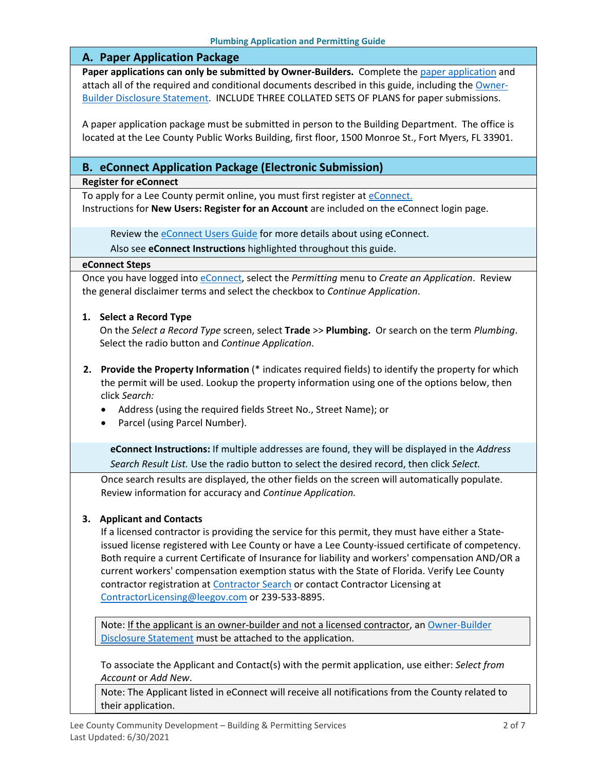#### **A. Paper Application Package**

**Paper applications can only be submitted by Owner-Builders.** Complete the [paper application](https://www.leegov.com/dcd/PermittingDocs/TradePermitAppCreditCard.pdf) and attach all of the required and conditional documents described in this guide, including the [Owner-](https://www.leegov.com/dcd/PermittingDocs/OwnerBldrDisclosure.pdf)[Builder Disclosure Statement.](https://www.leegov.com/dcd/PermittingDocs/OwnerBldrDisclosure.pdf) INCLUDE THREE COLLATED SETS OF PLANS for paper submissions.

A paper application package must be submitted in person to the Building Department. The office is located at the Lee County Public Works Building, first floor, 1500 Monroe St., Fort Myers, FL 33901.

#### **B. eConnect Application Package (Electronic Submission)**

#### **Register for eConnect**

To apply for a Lee County permit online, you must first register at [eConnect.](https://accelaaca.leegov.com/aca/) Instructions for **New Users: Register for an Account** are included on the eConnect login page.

Review the **eConnect Users Guide** for more details about using eConnect.

Also see **eConnect Instructions** highlighted throughout this guide.

#### **eConnect Steps**

Once you have logged into [eConnect,](https://accelaaca.leegov.com/aca/) select the *Permitting* menu to *Create an Application*. Review the general disclaimer terms and select the checkbox to *Continue Application*.

#### **1. Select a Record Type**

On the *Select a Record Type* screen, select **Trade** >> **Plumbing.** Or search on the term *Plumbing*. Select the radio button and *Continue Application*.

- **2. Provide the Property Information** (\* indicates required fields) to identify the property for which the permit will be used. Lookup the property information using one of the options below, then click *Search:*
	- Address (using the required fields Street No., Street Name); or
	- Parcel (using Parcel Number).

**eConnect Instructions:** If multiple addresses are found, they will be displayed in the *Address Search Result List.* Use the radio button to select the desired record, then click *Select.*

Once search results are displayed, the other fields on the screen will automatically populate. Review information for accuracy and *Continue Application.*

#### **3. Applicant and Contacts**

If a licensed contractor is providing the service for this permit, they must have either a Stateissued license registered with Lee County or have a Lee County-issued certificate of competency. Both require a current Certificate of Insurance for liability and workers' compensation AND/OR a current workers' compensation exemption status with the State of Florida. Verify Lee County contractor registration at [Contractor Search](https://www.leegov.com/dcd/ContLic/ActCont) or contact Contractor Licensing at [ContractorLicensing@leegov.com](mailto:ContractorLicensing@leegov.com) or 239-533-8895.

Note: If the applicant is an owner-builder and not a licensed contractor, an Owner-Builder [Disclosure Statement](https://www.leegov.com/dcd/PermittingDocs/OwnerBldrDisclosure.pdf) must be attached to the application.

To associate the Applicant and Contact(s) with the permit application, use either: *Select from Account* or *Add New*.

Note: The Applicant listed in eConnect will receive all notifications from the County related to their application.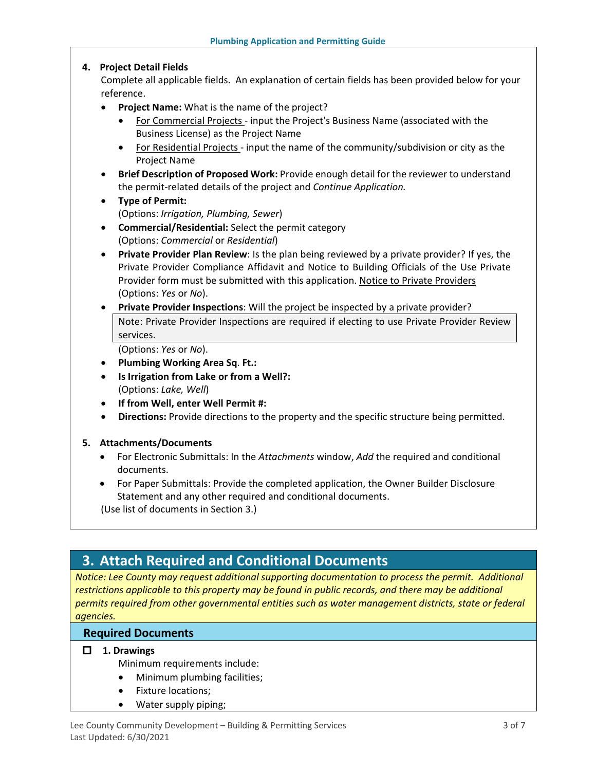#### **4. Project Detail Fields**

Complete all applicable fields. An explanation of certain fields has been provided below for your reference.

- **Project Name:** What is the name of the project?
	- For Commercial Projects input the Project's Business Name (associated with the Business License) as the Project Name
	- For Residential Projects input the name of the community/subdivision or city as the Project Name
- **Brief Description of Proposed Work:** Provide enough detail for the reviewer to understand the permit-related details of the project and *Continue Application.*
- **Type of Permit:**

(Options: *Irrigation, Plumbing, Sewer*)

- **Commercial/Residential:** Select the permit category (Options: *Commercial* or *Residential*)
- **Private Provider Plan Review**: Is the plan being reviewed by a private provider? If yes, the Private Provider Compliance Affidavit and Notice to Building Officials of the Use Private Provider form must be submitted with this application. [Notice to Private Providers](https://www.floridabuilding.org/fbc/committees/Private_Providers/Private_Providers.htm) (Options: *Yes* or *No*).
- **Private Provider Inspections**: Will the project be inspected by a private provider? Note: Private Provider Inspections are required if electing to use Private Provider Review services.

(Options: *Yes* or *No*).

- **Plumbing Working Area Sq**. **Ft.:**
- **Is Irrigation from Lake or from a Well?:** (Options: *Lake, Well*)
- **If from Well, enter Well Permit #:**
- **Directions:** Provide directions to the property and the specific structure being permitted.

#### **5. Attachments/Documents**

- For Electronic Submittals: In the *Attachments* window, *Add* the required and conditional documents.
- For Paper Submittals: Provide the completed application, the Owner Builder Disclosure Statement and any other required and conditional documents.

(Use list of documents in Section 3.)

# <span id="page-2-0"></span>**3. Attach Required and Conditional Documents**

*Notice: Lee County may request additional supporting documentation to process the permit. Additional*  restrictions applicable to this property may be found in public records, and there may be additional *permits required from other governmental entities such as water management districts, state or federal agencies.*

#### **Required Documents**

#### **1. Drawings**

Minimum requirements include:

- Minimum plumbing facilities;
- Fixture locations;
- Water supply piping;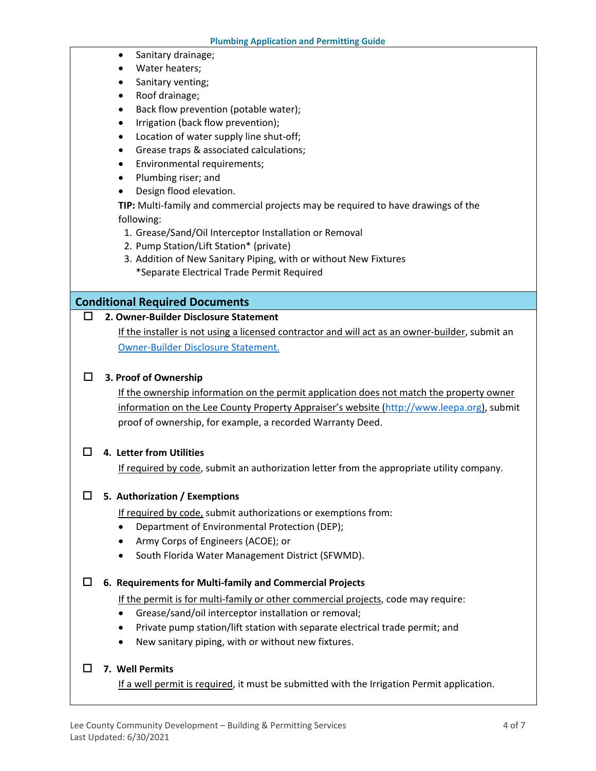- Sanitary drainage;
- Water heaters;
- Sanitary venting;
- Roof drainage;
- Back flow prevention (potable water);
- Irrigation (back flow prevention);
- Location of water supply line shut-off;
- Grease traps & associated calculations;
- Environmental requirements;
- Plumbing riser; and
- Design flood elevation.

**TIP:** Multi-family and commercial projects may be required to have drawings of the following:

- 1. Grease/Sand/Oil Interceptor Installation or Removal
- 2. Pump Station/Lift Station\* (private)
- 3. Addition of New Sanitary Piping, with or without New Fixtures \*Separate Electrical Trade Permit Required

#### **Conditional Required Documents**

#### **2. Owner-Builder Disclosure Statement**

If the installer is not using a licensed contractor and will act as an owner-builder, submit an [Owner-Builder Disclosure Statement.](https://www.leegov.com/dcd/PermittingDocs/OwnerBldrDisclosure.pdf)

#### **3. Proof of Ownership**

If the ownership information on the permit application does not match the property owner information on the Lee County Property Appraiser's website [\(http://www.leepa.org\)](http://www.leepa.org/), submit proof of ownership, for example, a recorded Warranty Deed.

#### **4. Letter from Utilities**

If required by code, submit an authorization letter from the appropriate utility company.

#### **5. Authorization / Exemptions**

If required by code, submit authorizations or exemptions from:

- Department of Environmental Protection (DEP);
- Army Corps of Engineers (ACOE); or
- South Florida Water Management District (SFWMD).

#### **6. Requirements for Multi-family and Commercial Projects**

If the permit is for multi-family or other commercial projects, code may require:

- Grease/sand/oil interceptor installation or removal;
- Private pump station/lift station with separate electrical trade permit; and
- New sanitary piping, with or without new fixtures.

#### **7. Well Permits**

If a well permit is required, it must be submitted with the Irrigation Permit application.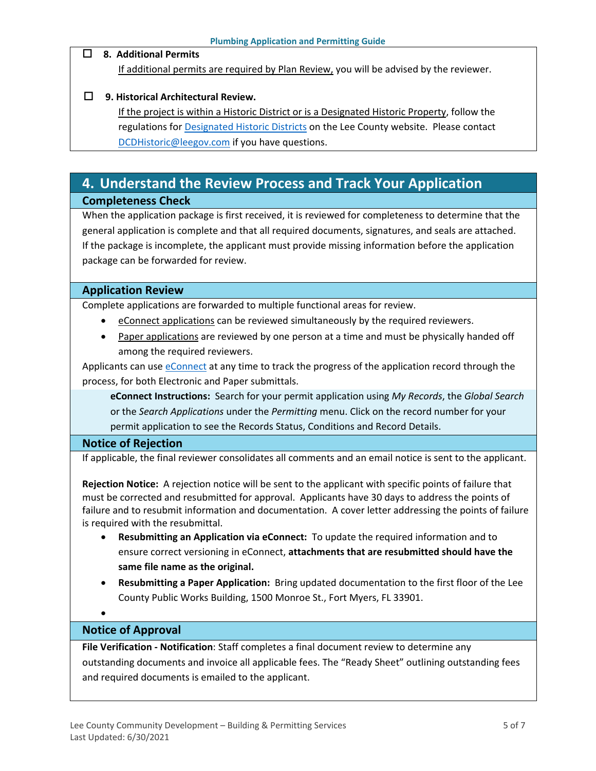#### **8. Additional Permits**

If additional permits are required by Plan Review, you will be advised by the reviewer.

#### **9. Historical Architectural Review.**

If the project is within a Historic District or is a Designated Historic Property, follow the regulations for **Designated Historic Districts** on the Lee County website. Please contact [DCDHistoric@leegov.com](mailto:DCDHistoric@leegov.com) if you have questions.

# <span id="page-4-0"></span>**4. Understand the Review Process and Track Your Application**

# **Completeness Check**

When the application package is first received, it is reviewed for completeness to determine that the general application is complete and that all required documents, signatures, and seals are attached. If the package is incomplete, the applicant must provide missing information before the application package can be forwarded for review.

#### **Application Review**

Complete applications are forwarded to multiple functional areas for review.

- eConnect applications can be reviewed simultaneously by the required reviewers.
- Paper applications are reviewed by one person at a time and must be physically handed off among the required reviewers.

Applicants can use [eConnect](https://accelaaca.leegov.com/aca/) at any time to track the progress of the application record through the process, for both Electronic and Paper submittals.

**eConnect Instructions:** Search for your permit application using *My Records*, the *Global Search* or the *Search Applications* under the *Permitting* menu. Click on the record number for your permit application to see the Records Status, Conditions and Record Details.

#### **Notice of Rejection**

If applicable, the final reviewer consolidates all comments and an email notice is sent to the applicant.

**Rejection Notice:** A rejection notice will be sent to the applicant with specific points of failure that must be corrected and resubmitted for approval. Applicants have 30 days to address the points of failure and to resubmit information and documentation. A cover letter addressing the points of failure is required with the resubmittal.

- **Resubmitting an Application via eConnect:** To update the required information and to ensure correct versioning in eConnect, **attachments that are resubmitted should have the same file name as the original.**
- **Resubmitting a Paper Application:** Bring updated documentation to the first floor of the Lee County Public Works Building, 1500 Monroe St., Fort Myers, FL 33901.
- •

#### **Notice of Approval**

**File Verification - Notification**: Staff completes a final document review to determine any outstanding documents and invoice all applicable fees. The "Ready Sheet" outlining outstanding fees and required documents is emailed to the applicant.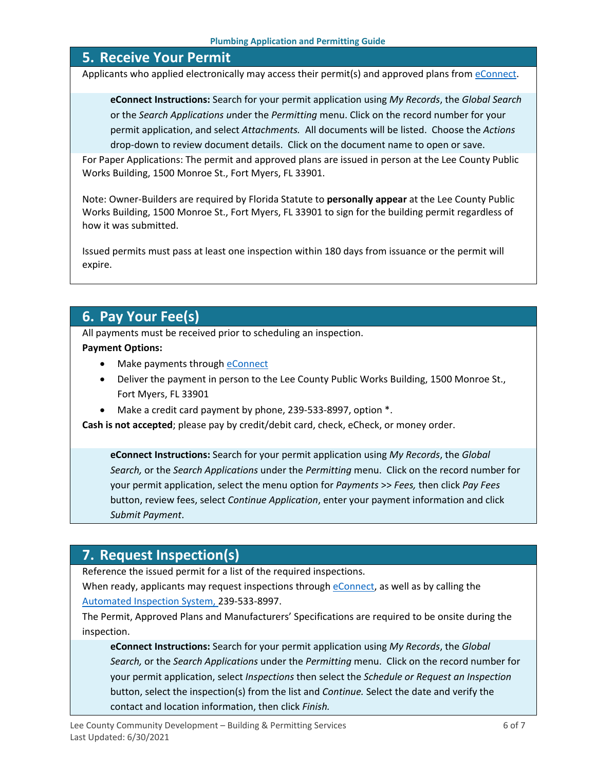### <span id="page-5-0"></span>**5. Receive Your Permit**

Applicants who applied electronically may access their permit(s) and approved plans from [eConnect.](https://accelaaca.leegov.com/aca/)

**eConnect Instructions:** Search for your permit application using *My Records*, the *Global Search* or the *Search Applications u*nder the *Permitting* menu. Click on the record number for your permit application, and select *Attachments.* All documents will be listed. Choose the *Actions*  drop-down to review document details. Click on the document name to open or save.

For Paper Applications: The permit and approved plans are issued in person at the Lee County Public Works Building, 1500 Monroe St., Fort Myers, FL 33901.

Note: Owner-Builders are required by Florida Statute to **personally appear** at the Lee County Public Works Building, 1500 Monroe St., Fort Myers, FL 33901 to sign for the building permit regardless of how it was submitted.

Issued permits must pass at least one inspection within 180 days from issuance or the permit will expire.

# <span id="page-5-1"></span>**6. Pay Your Fee(s)**

All payments must be received prior to scheduling an inspection.

#### **Payment Options:**

- Make payments through **eConnect**
- Deliver the payment in person to the Lee County Public Works Building, 1500 Monroe St., Fort Myers, FL 33901
- Make a credit card payment by phone, 239-533-8997, option \*.

**Cash is not accepted**; please pay by credit/debit card, check, eCheck, or money order.

**eConnect Instructions:** Search for your permit application using *My Records*, the *Global Search,* or the *Search Applications* under the *Permitting* menu. Click on the record number for your permit application, select the menu option for *Payments* >> *Fees,* then click *Pay Fees* button, review fees, select *Continue Application*, enter your payment information and click *Submit Payment*.

# <span id="page-5-2"></span>**7. Request Inspection(s)**

Reference the issued permit for a list of the required inspections.

When ready, applicants may request inspections through [eConnect,](https://accelaaca.leegov.com/aca/) as well as by calling the [Automated Inspection System,](https://www.leegov.com/dcd/BldPermitServ/Insp/AutoInsp) 239-533-8997.

The Permit, Approved Plans and Manufacturers' Specifications are required to be onsite during the inspection.

**eConnect Instructions:** Search for your permit application using *My Records*, the *Global Search,* or the *Search Applications* under the *Permitting* menu. Click on the record number for your permit application, select *Inspections* then select the *Schedule or Request an Inspection* button, select the inspection(s) from the list and *Continue.* Select the date and verify the contact and location information, then click *Finish.*